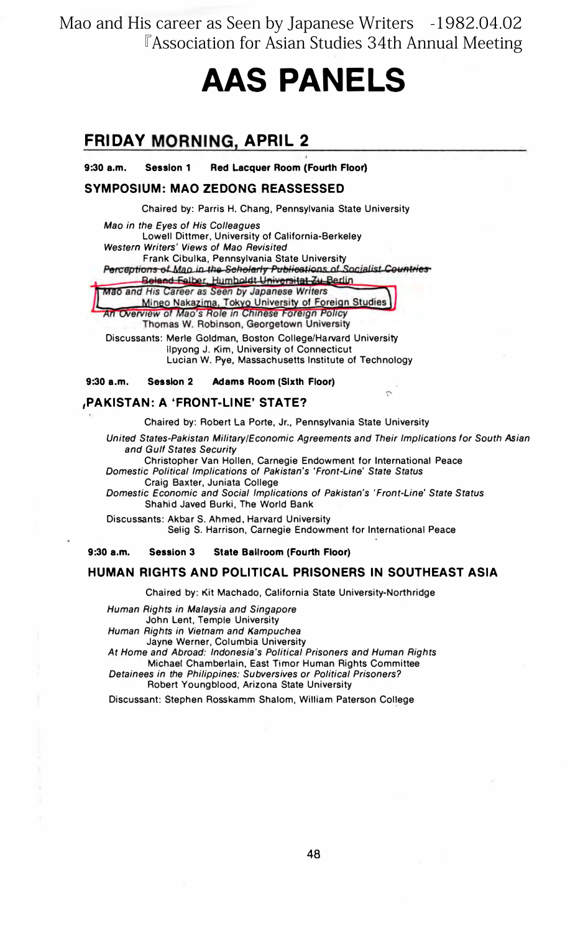Mao and His career as Seen by Japanese Writers -1982.04.02 **EAssociation for Asian Studies 34th Annual Meeting** 

# **AAS PANELS**

# **FRIDAY MORNING, APRIL 2**

 $9:30a.m.$ **Session 1** Red Lacquer Room (Fourth Floor)

#### **SYMPOSIUM: MAO ZEDONG REASSESSED**

Chaired by: Parris H. Chang, Pennsylvania State University

Mao in the Eyes of His Colleagues Lowell Dittmer, University of California-Berkeley Western Writers' Views of Mao Revisited Frank Cibulka, Pennsylvania State University<br>Perceptions of Man in the Scholarly Publications of Socialist Countries Beland Falber, Humboldt Universität Zu Berlin<br>Mao and His Career as Seen by Japanese Writers

Mineo Nakazima, Tokyo University of Foreign Studies An Overview of Mao's Role in Chinese Foreign Policy

Thomas W. Robinson, Georgetown University

Discussants: Merle Goldman, Boston College/Harvard University Ilpyong J. Kim, University of Connecticut Lucian W. Pye, Massachusetts Institute of Technology

#### $9:30$  a.m. Session 2 **Adams Room (Sixth Floor)**

#### **,PAKISTAN: A 'FRONT-LINE' STATE?**

Chaired by: Robert La Porte, Jr., Pennsylvania State University

United States-Pakistan Military/Economic Agreements and Their Implications for South Asian and Gulf States Security

Christopher Van Hollen, Carnegie Endowment for International Peace Domestic Political Implications of Pakistan's 'Front-Line' State Status Craig Baxter, Juniata College

Domestic Economic and Social Implications of Pakistan's 'Front-Line' State Status Shahid Javed Burki, The World Bank

Discussants: Akbar S. Ahmed, Harvard University Selig S. Harrison, Carnegie Endowment for International Peace

 $9:30$  a.m. **Session 3 State Bailroom (Fourth Floor)** 

#### HUMAN RIGHTS AND POLITICAL PRISONERS IN SOUTHEAST ASIA

Chaired by: Kit Machado, California State University-Northridge

Human Rights in Malaysia and Singapore John Lent, Temple University Human Rights in Vietnam and Kampuchea Jayne Werner, Columbia University

At Home and Abroad: Indonesia's Political Prisoners and Human Rights Michael Chamberlain, East Timor Human Rights Committee Detainees in the Philippines: Subversives or Political Prisoners?

Robert Youngblood, Arizona State University

Discussant: Stephen Rosskamm Shalom, William Paterson College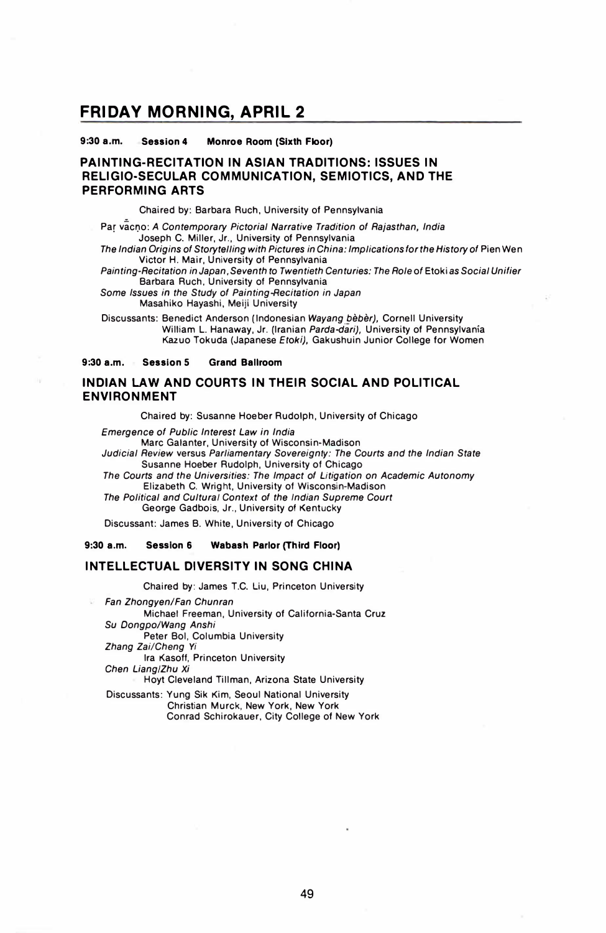## FRIDAY MORNING, APRIL 2

9:30 a.m. Session 4 Monroe Room (Sixth Floor)

## PAINTING-RECITATION IN ASIAN TRADITIONS: ISSUES IN RELIGIO・SECULAR COMMUNICATION, SEMIOTICS, AND THE PERFORMING ARTS NG-<br>O-S<br>RMI<br>-

Chaired by: Barbara Ruch, University of Pennsylvan』a

Par vacno: A Contemporary Pictorial Narrative Tradition of Rajasthan, India Joseph C. Miller, Jr., University of Pennsylvania

The Indian Origins of Storytelling with Pictures in China: Implications for the History of Pien Wen Victor H. Mair, University of Pennsylvania

Painting-Recitation in Japan, Seventh to Twentieth Centuries: The Role of Etoki as Social Unifier Barbara Ruch, University of Pennsylvania

Some Issues in the Study of Painting-Recitation in Japan Masahiko Hayashi, Meiji University

Discussants: Benedict Anderson (Indonesian Wayang bèbèr), Cornell University William L. Hanaway, Jr. (Iranian Parda-dari), University of Pennsylvania Kazuo Tokuda (Japanese Etoki), Gakushuin Junior College for Women

9:30 a.m. Session 5 Grand Ballroom

#### INDIAN LAW AND COURTS IN THEIR SOCIAL AND POLITICAL ENVIRONMENT

Chaired by: Susanne Hoeber Rudolph, University of Chicago

Emergence of Public Interest Law in India

Marc Galanter, University of Wisconsin-Madison Judicial Review versus Parliamentary Sovereignty: The Courts and the Indian State Susanne Hoeber Rudolph, University of Chicago

The Courts and the Universities: The Impact of Litigation on Academic Autonomy Elizabeth C. Wright, University of Wisconsin-Madison

The Political and Cultural Context of the Indian Supreme Court

George Gadbois, Jr., University of Kentucky

Discussant: James B. White, University of Chicago

9:30 a.m. Session 6 Wabash Parlor (Third Floor)

#### INTELLECTUAL DIVERSITY IN SONG CHINA

Chaired by: James T.C. Liu, Princeton University

Fan Zhongyen/Fan Chunran Michael Freeman, University of California-Santa Cruz Su Dongpo/Wang Anshi Peter Bol, Columbia University Zhang Zai/Cheng Yi Ira Kasoff, Princeton University Chen Liang/Zhu Xi Hoyt Cleveland Tillman, Arizona State University Discussants: Yung Sik Kim, Seoul National University

Christian Murck, New York, New York Conrad Schirokauer, City College of New York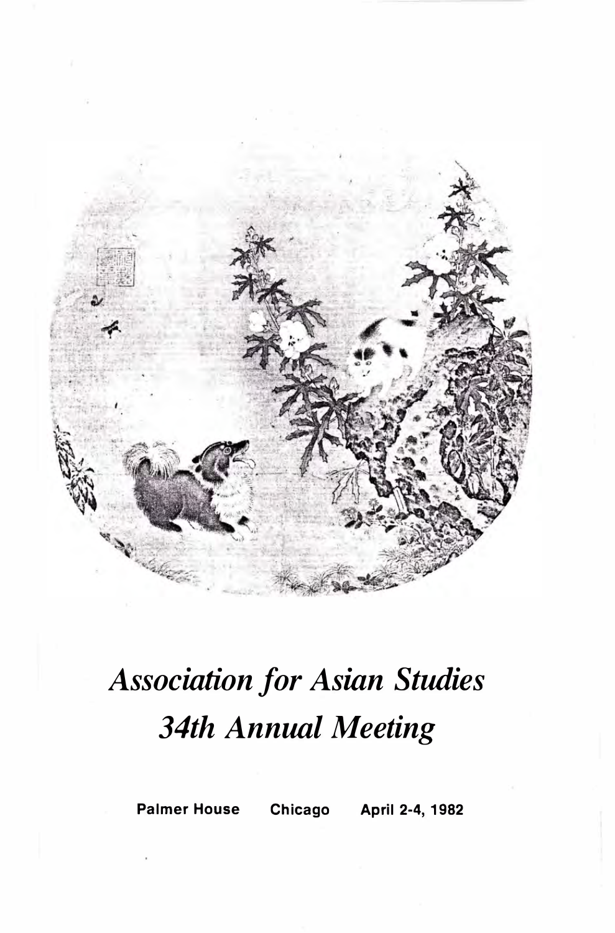

# Association for Asian Studies 34th Annual Meeting

Palmer House Chicago April 2-4, 1982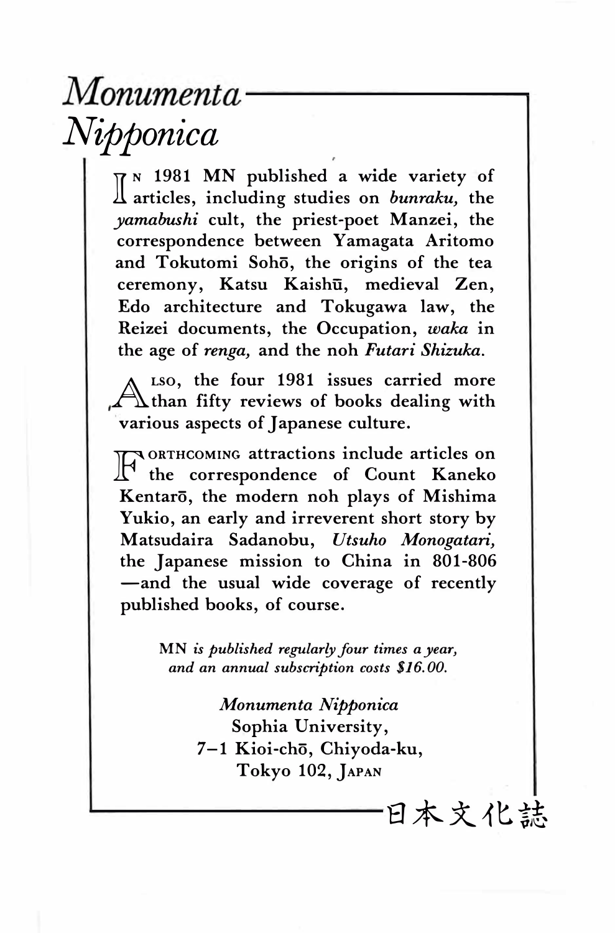# Monumenta<sup>®</sup> Nipponica

 $\P^n$  1981 MN published a wide variety of articles, including studies on *bunraku*, the yamabushi cult, the priest-poet Manzei, the correspondence between Yamagata Aritomo and Tokutomi Sohō, the origins of the tea ceremony, Katsu Kaishū, medieval Zen, Edo architecture and Tokugawa law, the Reizei documents, the Occupation, wαka in the age of renga, and the noh Futari Shizuka.

A than fifty reviews of books dealing with LSO, the four 1981 issues carried more various aspects of Japanese culture.

 $\mathbb{T}$  the correspondence of Count Kaneko ORTHCOMING attractions include articles on Kentarō, the modern noh plays of Mishima Yukio, an early and irreverent short story by Matsudaira Sadanobu, Utsuho Monogatαri, the Japanese mission to China in 801-806 -and the usual wide coverage of recently published books, of course.

> MN is published regularly four times a year, and an annual subscription costs \$16.00.

> > Monumenta Nipponica Sophia University, 7-1 Kioi-chō, Chiyoda-ku, Tokyo 102, JAPAN

> > > 白木文化誌